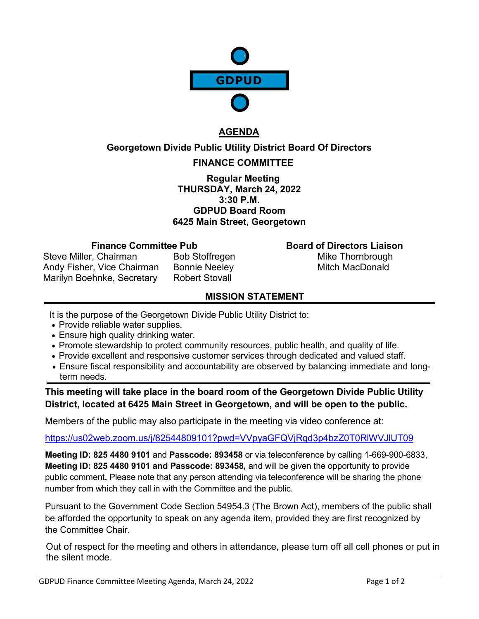

# **AGENDA**

### **Georgetown Divide Public Utility District Board Of Directors**

# **FINANCE COMMITTEE**

**Regular Meeting THURSDAY, March 24, 2022 3:30 P.M. GDPUD Board Room 6425 Main Street, Georgetown**

#### **Finance Committee Pub Board of Directors Liaison**

Steve Miller, Chairman Bob Stoffregen Mike Thornbrough Andy Fisher, Vice Chairman Bonnie Neeley **Mitch MacDonald** Marilyn Boehnke, Secretary Robert Stovall

# **MISSION STATEMENT**

It is the purpose of the Georgetown Divide Public Utility District to:

- Provide reliable water supplies.
- Ensure high quality drinking water.
- Promote stewardship to protect community resources, public health, and quality of life.
- Provide excellent and responsive customer services through dedicated and valued staff.
- Ensure fiscal responsibility and accountability are observed by balancing immediate and longterm needs.

**This meeting will take place in the board room of the Georgetown Divide Public Utility District, located at 6425 Main Street in Georgetown, and will be open to the public.**

Members of the public may also participate in the meeting via video conference at:

### <https://us02web.zoom.us/j/82544809101?pwd=VVpyaGFQVjRqd3p4bzZ0T0RlWVJlUT09>

**Meeting ID: 825 4480 9101** and **Passcode: 893458** or via teleconference by calling 1-669-900-6833, **Meeting ID: 825 4480 9101 and Passcode: 893458,** and will be given the opportunity to provide public comment**.** Please note that any person attending via teleconference will be sharing the phone number from which they call in with the Committee and the public.

Pursuant to the Government Code Section 54954.3 (The Brown Act), members of the public shall be afforded the opportunity to speak on any agenda item, provided they are first recognized by the Committee Chair.

Out of respect for the meeting and others in attendance, please turn off all cell phones or put in the silent mode.